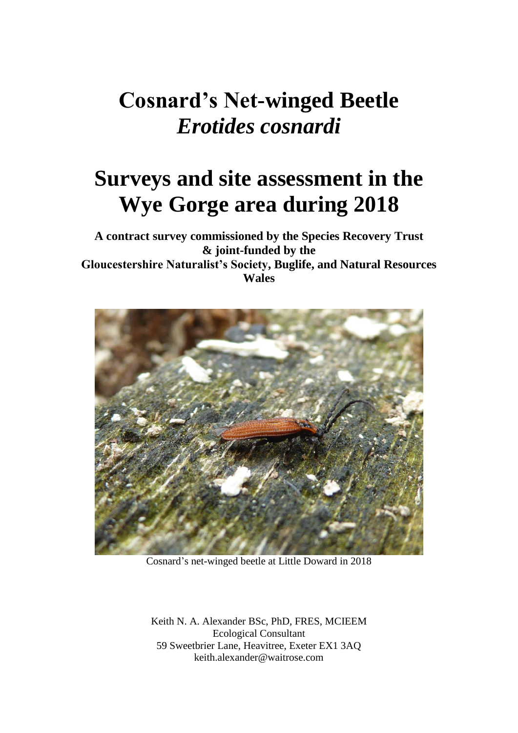# **Cosnard's Net-winged Beetle** *Erotides cosnardi*

# **Surveys and site assessment in the Wye Gorge area during 2018**

**A contract survey commissioned by the Species Recovery Trust & joint-funded by the Gloucestershire Naturalist's Society, Buglife, and Natural Resources Wales**



Cosnard's net-winged beetle at Little Doward in 2018

Keith N. A. Alexander BSc, PhD, FRES, MCIEEM Ecological Consultant 59 Sweetbrier Lane, Heavitree, Exeter EX1 3AQ keith.alexander@waitrose.com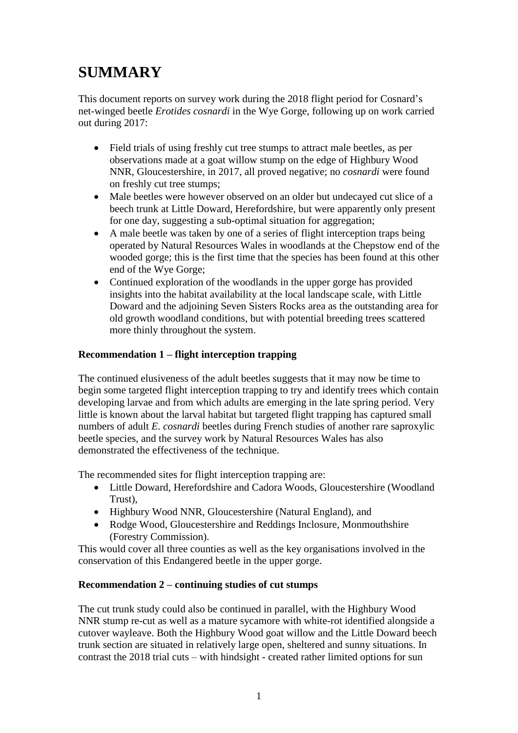## **SUMMARY**

This document reports on survey work during the 2018 flight period for Cosnard's net-winged beetle *Erotides cosnardi* in the Wye Gorge, following up on work carried out during 2017:

- Field trials of using freshly cut tree stumps to attract male beetles, as per observations made at a goat willow stump on the edge of Highbury Wood NNR, Gloucestershire, in 2017, all proved negative; no *cosnardi* were found on freshly cut tree stumps;
- Male beetles were however observed on an older but undecayed cut slice of a beech trunk at Little Doward, Herefordshire, but were apparently only present for one day, suggesting a sub-optimal situation for aggregation;
- A male beetle was taken by one of a series of flight interception traps being operated by Natural Resources Wales in woodlands at the Chepstow end of the wooded gorge; this is the first time that the species has been found at this other end of the Wye Gorge;
- Continued exploration of the woodlands in the upper gorge has provided insights into the habitat availability at the local landscape scale, with Little Doward and the adjoining Seven Sisters Rocks area as the outstanding area for old growth woodland conditions, but with potential breeding trees scattered more thinly throughout the system.

#### **Recommendation 1 – flight interception trapping**

The continued elusiveness of the adult beetles suggests that it may now be time to begin some targeted flight interception trapping to try and identify trees which contain developing larvae and from which adults are emerging in the late spring period. Very little is known about the larval habitat but targeted flight trapping has captured small numbers of adult *E. cosnardi* beetles during French studies of another rare saproxylic beetle species, and the survey work by Natural Resources Wales has also demonstrated the effectiveness of the technique.

The recommended sites for flight interception trapping are:

- Little Doward, Herefordshire and Cadora Woods, Gloucestershire (Woodland Trust),
- Highbury Wood NNR, Gloucestershire (Natural England), and
- Rodge Wood, Gloucestershire and Reddings Inclosure, Monmouthshire (Forestry Commission).

This would cover all three counties as well as the key organisations involved in the conservation of this Endangered beetle in the upper gorge.

#### **Recommendation 2 – continuing studies of cut stumps**

The cut trunk study could also be continued in parallel, with the Highbury Wood NNR stump re-cut as well as a mature sycamore with white-rot identified alongside a cutover wayleave. Both the Highbury Wood goat willow and the Little Doward beech trunk section are situated in relatively large open, sheltered and sunny situations. In contrast the 2018 trial cuts – with hindsight - created rather limited options for sun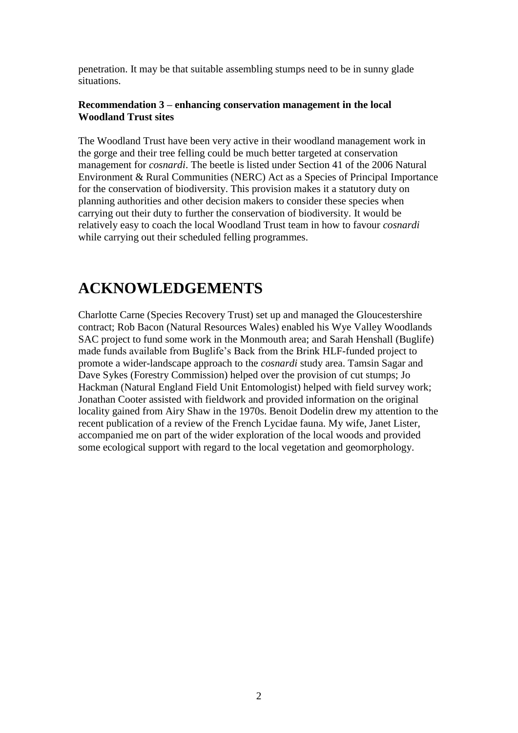penetration. It may be that suitable assembling stumps need to be in sunny glade situations.

#### **Recommendation 3 – enhancing conservation management in the local Woodland Trust sites**

The Woodland Trust have been very active in their woodland management work in the gorge and their tree felling could be much better targeted at conservation management for *cosnardi*. The beetle is listed under Section 41 of the 2006 Natural Environment & Rural Communities (NERC) Act as a Species of Principal Importance for the conservation of biodiversity. This provision makes it a statutory duty on planning authorities and other decision makers to consider these species when carrying out their duty to further the conservation of biodiversity. It would be relatively easy to coach the local Woodland Trust team in how to favour *cosnardi* while carrying out their scheduled felling programmes.

## **ACKNOWLEDGEMENTS**

Charlotte Carne (Species Recovery Trust) set up and managed the Gloucestershire contract; Rob Bacon (Natural Resources Wales) enabled his Wye Valley Woodlands SAC project to fund some work in the Monmouth area; and Sarah Henshall (Buglife) made funds available from Buglife's Back from the Brink HLF-funded project to promote a wider-landscape approach to the *cosnardi* study area. Tamsin Sagar and Dave Sykes (Forestry Commission) helped over the provision of cut stumps; Jo Hackman (Natural England Field Unit Entomologist) helped with field survey work; Jonathan Cooter assisted with fieldwork and provided information on the original locality gained from Airy Shaw in the 1970s. Benoit Dodelin drew my attention to the recent publication of a review of the French Lycidae fauna. My wife, Janet Lister, accompanied me on part of the wider exploration of the local woods and provided some ecological support with regard to the local vegetation and geomorphology.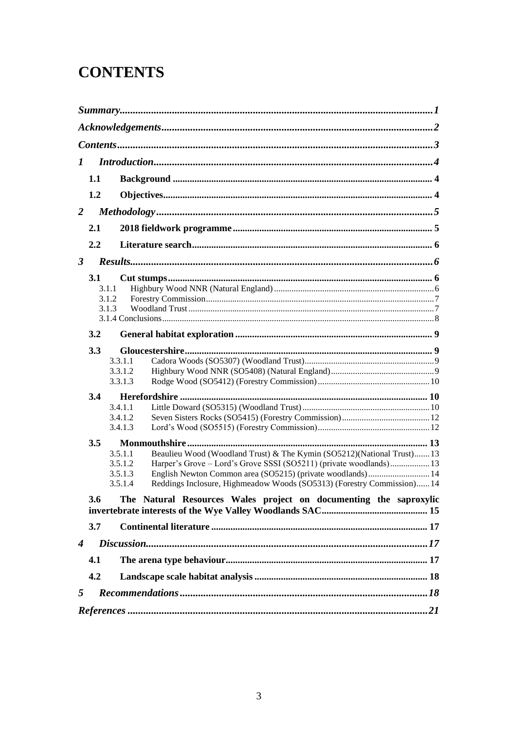## **CONTENTS**

| 1                    |                                                                          |                                                                                                                                                                                                                                                                                                                                  |  |  |  |
|----------------------|--------------------------------------------------------------------------|----------------------------------------------------------------------------------------------------------------------------------------------------------------------------------------------------------------------------------------------------------------------------------------------------------------------------------|--|--|--|
|                      | 1.1                                                                      |                                                                                                                                                                                                                                                                                                                                  |  |  |  |
|                      | 1.2                                                                      |                                                                                                                                                                                                                                                                                                                                  |  |  |  |
| 2                    |                                                                          |                                                                                                                                                                                                                                                                                                                                  |  |  |  |
|                      | 2.1                                                                      |                                                                                                                                                                                                                                                                                                                                  |  |  |  |
|                      | 2.2                                                                      |                                                                                                                                                                                                                                                                                                                                  |  |  |  |
| $\boldsymbol{\beta}$ |                                                                          |                                                                                                                                                                                                                                                                                                                                  |  |  |  |
|                      | 3.1                                                                      | 3.1.1<br>3.1.2<br>3.1.3                                                                                                                                                                                                                                                                                                          |  |  |  |
|                      | 3.2                                                                      |                                                                                                                                                                                                                                                                                                                                  |  |  |  |
|                      | 3.3                                                                      | 3.3.1.1<br>3.3.1.2<br>3.3.1.3                                                                                                                                                                                                                                                                                                    |  |  |  |
|                      | 3.4                                                                      | 3.4.1.1<br>3.4.1.2<br>3.4.1.3                                                                                                                                                                                                                                                                                                    |  |  |  |
|                      | 3.5                                                                      | 3.5.1.1<br>Beaulieu Wood (Woodland Trust) & The Kymin (SO5212)(National Trust) 13<br>Harper's Grove - Lord's Grove SSSI (SO5211) (private woodlands) 13<br>3.5.1.2<br>English Newton Common area (SO5215) (private woodlands) 14<br>3.5.1.3<br>Reddings Inclosure, Highmeadow Woods (SO5313) (Forestry Commission) 14<br>3.5.1.4 |  |  |  |
|                      | 3.6<br>The Natural Resources Wales project on documenting the saproxylic |                                                                                                                                                                                                                                                                                                                                  |  |  |  |
|                      | 3.7                                                                      |                                                                                                                                                                                                                                                                                                                                  |  |  |  |
| $\boldsymbol{4}$     |                                                                          |                                                                                                                                                                                                                                                                                                                                  |  |  |  |
|                      | 4.1                                                                      |                                                                                                                                                                                                                                                                                                                                  |  |  |  |
|                      | 4.2                                                                      |                                                                                                                                                                                                                                                                                                                                  |  |  |  |
| 5                    |                                                                          |                                                                                                                                                                                                                                                                                                                                  |  |  |  |
|                      |                                                                          | $References \dots 21$                                                                                                                                                                                                                                                                                                            |  |  |  |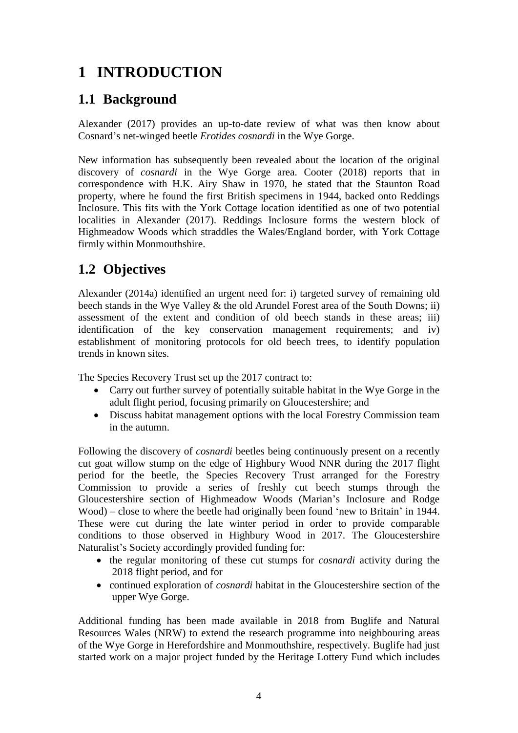## **1 INTRODUCTION**

## **1.1 Background**

Alexander (2017) provides an up-to-date review of what was then know about Cosnard's net-winged beetle *Erotides cosnardi* in the Wye Gorge.

New information has subsequently been revealed about the location of the original discovery of *cosnardi* in the Wye Gorge area. Cooter (2018) reports that in correspondence with H.K. Airy Shaw in 1970, he stated that the Staunton Road property, where he found the first British specimens in 1944, backed onto Reddings Inclosure. This fits with the York Cottage location identified as one of two potential localities in Alexander (2017). Reddings Inclosure forms the western block of Highmeadow Woods which straddles the Wales/England border, with York Cottage firmly within Monmouthshire.

## **1.2 Objectives**

Alexander (2014a) identified an urgent need for: i) targeted survey of remaining old beech stands in the Wye Valley & the old Arundel Forest area of the South Downs; ii) assessment of the extent and condition of old beech stands in these areas; iii) identification of the key conservation management requirements; and iv) establishment of monitoring protocols for old beech trees, to identify population trends in known sites.

The Species Recovery Trust set up the 2017 contract to:

- Carry out further survey of potentially suitable habitat in the Wye Gorge in the adult flight period, focusing primarily on Gloucestershire; and
- Discuss habitat management options with the local Forestry Commission team in the autumn.

Following the discovery of *cosnardi* beetles being continuously present on a recently cut goat willow stump on the edge of Highbury Wood NNR during the 2017 flight period for the beetle, the Species Recovery Trust arranged for the Forestry Commission to provide a series of freshly cut beech stumps through the Gloucestershire section of Highmeadow Woods (Marian's Inclosure and Rodge Wood) – close to where the beetle had originally been found 'new to Britain' in 1944. These were cut during the late winter period in order to provide comparable conditions to those observed in Highbury Wood in 2017. The Gloucestershire Naturalist's Society accordingly provided funding for:

- the regular monitoring of these cut stumps for *cosnardi* activity during the 2018 flight period, and for
- continued exploration of *cosnardi* habitat in the Gloucestershire section of the upper Wye Gorge.

Additional funding has been made available in 2018 from Buglife and Natural Resources Wales (NRW) to extend the research programme into neighbouring areas of the Wye Gorge in Herefordshire and Monmouthshire, respectively. Buglife had just started work on a major project funded by the Heritage Lottery Fund which includes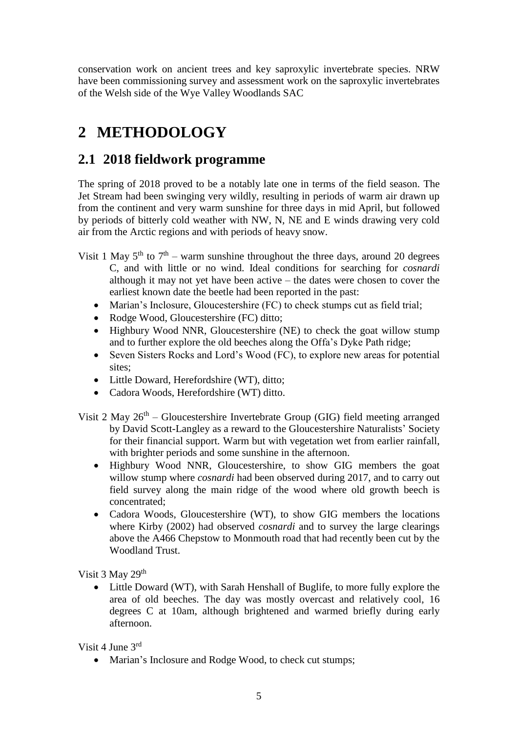conservation work on ancient trees and key saproxylic invertebrate species. NRW have been commissioning survey and assessment work on the saproxylic invertebrates of the Welsh side of the Wye Valley Woodlands SAC

## **2 METHODOLOGY**

### **2.1 2018 fieldwork programme**

The spring of 2018 proved to be a notably late one in terms of the field season. The Jet Stream had been swinging very wildly, resulting in periods of warm air drawn up from the continent and very warm sunshine for three days in mid April, but followed by periods of bitterly cold weather with NW, N, NE and E winds drawing very cold air from the Arctic regions and with periods of heavy snow.

- Visit 1 May  $5<sup>th</sup>$  to  $7<sup>th</sup>$  warm sunshine throughout the three days, around 20 degrees C, and with little or no wind. Ideal conditions for searching for *cosnardi* although it may not yet have been active – the dates were chosen to cover the earliest known date the beetle had been reported in the past:
	- Marian's Inclosure, Gloucestershire (FC) to check stumps cut as field trial;
	- Rodge Wood, Gloucestershire (FC) ditto;
	- Highbury Wood NNR, Gloucestershire (NE) to check the goat willow stump and to further explore the old beeches along the Offa's Dyke Path ridge;
	- Seven Sisters Rocks and Lord's Wood (FC), to explore new areas for potential sites;
	- Little Doward, Herefordshire (WT), ditto;
	- Cadora Woods, Herefordshire (WT) ditto.
- Visit 2 May  $26<sup>th</sup>$  Gloucestershire Invertebrate Group (GIG) field meeting arranged by David Scott-Langley as a reward to the Gloucestershire Naturalists' Society for their financial support. Warm but with vegetation wet from earlier rainfall, with brighter periods and some sunshine in the afternoon.
	- Highbury Wood NNR, Gloucestershire, to show GIG members the goat willow stump where *cosnardi* had been observed during 2017, and to carry out field survey along the main ridge of the wood where old growth beech is concentrated;
	- Cadora Woods, Gloucestershire (WT), to show GIG members the locations where Kirby (2002) had observed *cosnardi* and to survey the large clearings above the A466 Chepstow to Monmouth road that had recently been cut by the Woodland Trust.

Visit 3 May 29<sup>th</sup>

• Little Doward (WT), with Sarah Henshall of Buglife, to more fully explore the area of old beeches. The day was mostly overcast and relatively cool, 16 degrees C at 10am, although brightened and warmed briefly during early afternoon.

Visit 4 June 3rd

• Marian's Inclosure and Rodge Wood, to check cut stumps;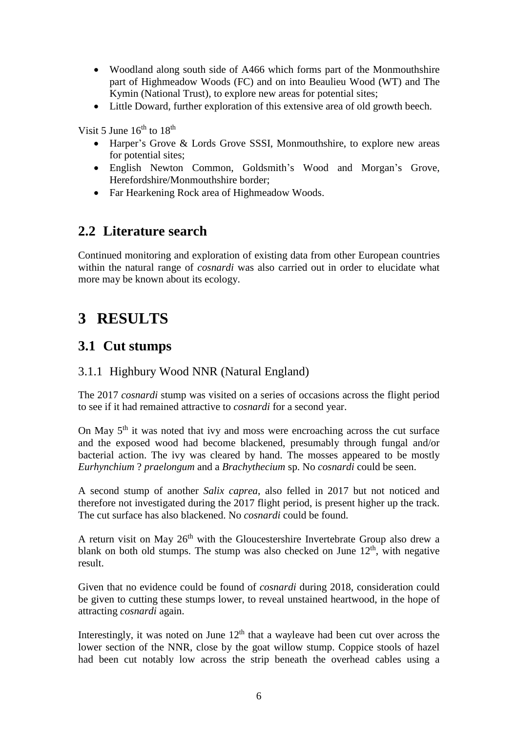- Woodland along south side of A466 which forms part of the Monmouthshire part of Highmeadow Woods (FC) and on into Beaulieu Wood (WT) and The Kymin (National Trust), to explore new areas for potential sites;
- Little Doward, further exploration of this extensive area of old growth beech.

Visit 5 June  $16<sup>th</sup>$  to  $18<sup>th</sup>$ 

- Harper's Grove & Lords Grove SSSI, Monmouthshire, to explore new areas for potential sites;
- English Newton Common, Goldsmith's Wood and Morgan's Grove, Herefordshire/Monmouthshire border;
- Far Hearkening Rock area of Highmeadow Woods.

### **2.2 Literature search**

Continued monitoring and exploration of existing data from other European countries within the natural range of *cosnardi* was also carried out in order to elucidate what more may be known about its ecology.

## **3 RESULTS**

### **3.1 Cut stumps**

#### 3.1.1 Highbury Wood NNR (Natural England)

The 2017 *cosnardi* stump was visited on a series of occasions across the flight period to see if it had remained attractive to *cosnardi* for a second year.

On May 5<sup>th</sup> it was noted that ivy and moss were encroaching across the cut surface and the exposed wood had become blackened, presumably through fungal and/or bacterial action. The ivy was cleared by hand. The mosses appeared to be mostly *Eurhynchium* ? *praelongum* and a *Brachythecium* sp. No *cosnardi* could be seen.

A second stump of another *Salix caprea*, also felled in 2017 but not noticed and therefore not investigated during the 2017 flight period, is present higher up the track. The cut surface has also blackened. No *cosnardi* could be found.

A return visit on May  $26<sup>th</sup>$  with the Gloucestershire Invertebrate Group also drew a blank on both old stumps. The stump was also checked on June  $12<sup>th</sup>$ , with negative result.

Given that no evidence could be found of *cosnardi* during 2018, consideration could be given to cutting these stumps lower, to reveal unstained heartwood, in the hope of attracting *cosnardi* again.

Interestingly, it was noted on June  $12<sup>th</sup>$  that a wayleave had been cut over across the lower section of the NNR, close by the goat willow stump. Coppice stools of hazel had been cut notably low across the strip beneath the overhead cables using a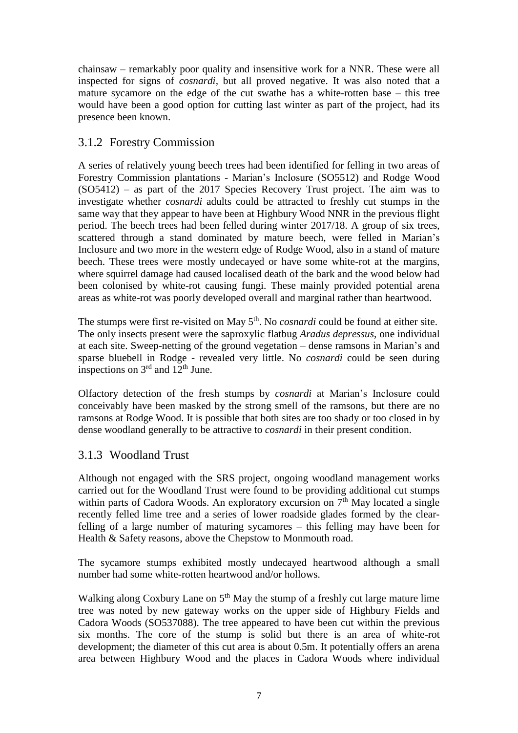chainsaw – remarkably poor quality and insensitive work for a NNR. These were all inspected for signs of *cosnardi,* but all proved negative. It was also noted that a mature sycamore on the edge of the cut swathe has a white-rotten base – this tree would have been a good option for cutting last winter as part of the project, had its presence been known.

#### 3.1.2 Forestry Commission

A series of relatively young beech trees had been identified for felling in two areas of Forestry Commission plantations - Marian's Inclosure (SO5512) and Rodge Wood (SO5412) – as part of the 2017 Species Recovery Trust project. The aim was to investigate whether *cosnardi* adults could be attracted to freshly cut stumps in the same way that they appear to have been at Highbury Wood NNR in the previous flight period. The beech trees had been felled during winter 2017/18. A group of six trees, scattered through a stand dominated by mature beech, were felled in Marian's Inclosure and two more in the western edge of Rodge Wood, also in a stand of mature beech. These trees were mostly undecayed or have some white-rot at the margins, where squirrel damage had caused localised death of the bark and the wood below had been colonised by white-rot causing fungi. These mainly provided potential arena areas as white-rot was poorly developed overall and marginal rather than heartwood.

The stumps were first re-visited on May 5<sup>th</sup>. No *cosnardi* could be found at either site. The only insects present were the saproxylic flatbug *Aradus depressus*, one individual at each site. Sweep-netting of the ground vegetation – dense ramsons in Marian's and sparse bluebell in Rodge - revealed very little. No *cosnardi* could be seen during inspections on  $3<sup>rd</sup>$  and  $12<sup>th</sup>$  June.

Olfactory detection of the fresh stumps by *cosnardi* at Marian's Inclosure could conceivably have been masked by the strong smell of the ramsons, but there are no ramsons at Rodge Wood. It is possible that both sites are too shady or too closed in by dense woodland generally to be attractive to *cosnardi* in their present condition.

#### 3.1.3 Woodland Trust

Although not engaged with the SRS project, ongoing woodland management works carried out for the Woodland Trust were found to be providing additional cut stumps within parts of Cadora Woods. An exploratory excursion on  $7<sup>th</sup>$  May located a single recently felled lime tree and a series of lower roadside glades formed by the clearfelling of a large number of maturing sycamores – this felling may have been for Health & Safety reasons, above the Chepstow to Monmouth road.

The sycamore stumps exhibited mostly undecayed heartwood although a small number had some white-rotten heartwood and/or hollows.

Walking along Coxbury Lane on  $5<sup>th</sup>$  May the stump of a freshly cut large mature lime tree was noted by new gateway works on the upper side of Highbury Fields and Cadora Woods (SO537088). The tree appeared to have been cut within the previous six months. The core of the stump is solid but there is an area of white-rot development; the diameter of this cut area is about 0.5m. It potentially offers an arena area between Highbury Wood and the places in Cadora Woods where individual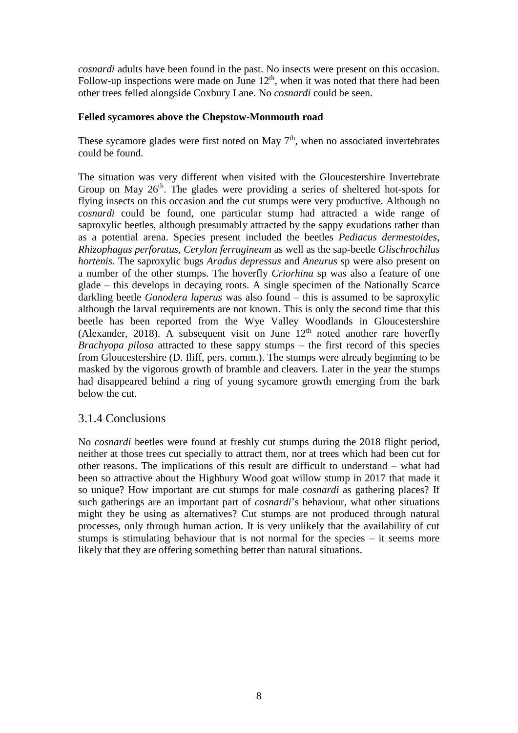*cosnardi* adults have been found in the past. No insects were present on this occasion. Follow-up inspections were made on June  $12<sup>th</sup>$ , when it was noted that there had been other trees felled alongside Coxbury Lane. No *cosnardi* could be seen.

#### **Felled sycamores above the Chepstow-Monmouth road**

These sycamore glades were first noted on May  $7<sup>th</sup>$ , when no associated invertebrates could be found.

The situation was very different when visited with the Gloucestershire Invertebrate Group on May  $26<sup>th</sup>$ . The glades were providing a series of sheltered hot-spots for flying insects on this occasion and the cut stumps were very productive. Although no *cosnardi* could be found, one particular stump had attracted a wide range of saproxylic beetles, although presumably attracted by the sappy exudations rather than as a potential arena. Species present included the beetles *Pediacus dermestoides*, *Rhizophagus perforatus, Cerylon ferrugineum* as well as the sap-beetle *Glischrochilus hortenis*. The saproxylic bugs *Aradus depressus* and *Aneurus* sp were also present on a number of the other stumps. The hoverfly *Criorhina* sp was also a feature of one glade – this develops in decaying roots. A single specimen of the Nationally Scarce darkling beetle *Gonodera luperus* was also found – this is assumed to be saproxylic although the larval requirements are not known. This is only the second time that this beetle has been reported from the Wye Valley Woodlands in Gloucestershire (Alexander, 2018). A subsequent visit on June  $12<sup>th</sup>$  noted another rare hoverfly *Brachyopa pilosa* attracted to these sappy stumps – the first record of this species from Gloucestershire (D. Iliff, pers. comm.). The stumps were already beginning to be masked by the vigorous growth of bramble and cleavers. Later in the year the stumps had disappeared behind a ring of young sycamore growth emerging from the bark below the cut.

#### 3.1.4 Conclusions

No *cosnardi* beetles were found at freshly cut stumps during the 2018 flight period, neither at those trees cut specially to attract them, nor at trees which had been cut for other reasons. The implications of this result are difficult to understand – what had been so attractive about the Highbury Wood goat willow stump in 2017 that made it so unique? How important are cut stumps for male *cosnardi* as gathering places? If such gatherings are an important part of *cosnardi*'s behaviour, what other situations might they be using as alternatives? Cut stumps are not produced through natural processes, only through human action. It is very unlikely that the availability of cut stumps is stimulating behaviour that is not normal for the species – it seems more likely that they are offering something better than natural situations.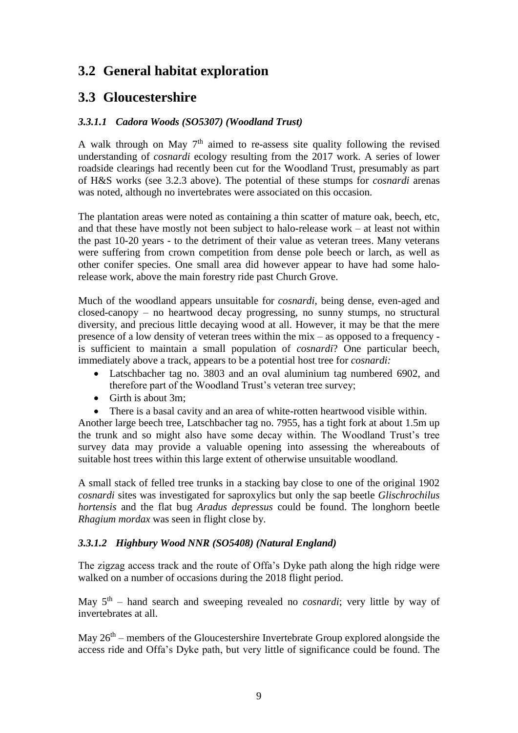## **3.2 General habitat exploration**

## **3.3 Gloucestershire**

#### *3.3.1.1 Cadora Woods (SO5307) (Woodland Trust)*

A walk through on May  $7<sup>th</sup>$  aimed to re-assess site quality following the revised understanding of *cosnardi* ecology resulting from the 2017 work. A series of lower roadside clearings had recently been cut for the Woodland Trust, presumably as part of H&S works (see 3.2.3 above). The potential of these stumps for *cosnardi* arenas was noted, although no invertebrates were associated on this occasion.

The plantation areas were noted as containing a thin scatter of mature oak, beech, etc, and that these have mostly not been subject to halo-release work – at least not within the past 10-20 years - to the detriment of their value as veteran trees. Many veterans were suffering from crown competition from dense pole beech or larch, as well as other conifer species. One small area did however appear to have had some halorelease work, above the main forestry ride past Church Grove.

Much of the woodland appears unsuitable for *cosnardi*, being dense, even-aged and closed-canopy – no heartwood decay progressing, no sunny stumps, no structural diversity, and precious little decaying wood at all. However, it may be that the mere presence of a low density of veteran trees within the mix – as opposed to a frequency is sufficient to maintain a small population of *cosnardi*? One particular beech, immediately above a track, appears to be a potential host tree for *cosnardi:*

- Latschbacher tag no. 3803 and an oval aluminium tag numbered 6902, and therefore part of the Woodland Trust's veteran tree survey;
- Girth is about 3m:
- There is a basal cavity and an area of white-rotten heartwood visible within.

Another large beech tree, Latschbacher tag no. 7955, has a tight fork at about 1.5m up the trunk and so might also have some decay within. The Woodland Trust's tree survey data may provide a valuable opening into assessing the whereabouts of suitable host trees within this large extent of otherwise unsuitable woodland.

A small stack of felled tree trunks in a stacking bay close to one of the original 1902 *cosnardi* sites was investigated for saproxylics but only the sap beetle *Glischrochilus hortensis* and the flat bug *Aradus depressus* could be found. The longhorn beetle *Rhagium mordax* was seen in flight close by.

#### *3.3.1.2 Highbury Wood NNR (SO5408) (Natural England)*

The zigzag access track and the route of Offa's Dyke path along the high ridge were walked on a number of occasions during the 2018 flight period.

May  $5<sup>th</sup>$  – hand search and sweeping revealed no *cosnardi*; very little by way of invertebrates at all.

May  $26<sup>th</sup>$  – members of the Gloucestershire Invertebrate Group explored alongside the access ride and Offa's Dyke path, but very little of significance could be found. The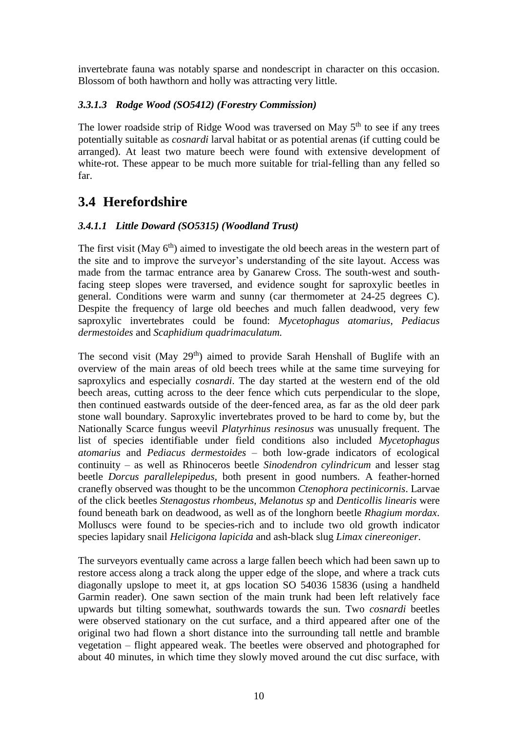invertebrate fauna was notably sparse and nondescript in character on this occasion. Blossom of both hawthorn and holly was attracting very little.

#### *3.3.1.3 Rodge Wood (SO5412) (Forestry Commission)*

The lower roadside strip of Ridge Wood was traversed on May 5<sup>th</sup> to see if any trees potentially suitable as *cosnardi* larval habitat or as potential arenas (if cutting could be arranged). At least two mature beech were found with extensive development of white-rot. These appear to be much more suitable for trial-felling than any felled so far.

### **3.4 Herefordshire**

#### *3.4.1.1 Little Doward (SO5315) (Woodland Trust)*

The first visit (May  $6<sup>th</sup>$ ) aimed to investigate the old beech areas in the western part of the site and to improve the surveyor's understanding of the site layout. Access was made from the tarmac entrance area by Ganarew Cross. The south-west and southfacing steep slopes were traversed, and evidence sought for saproxylic beetles in general. Conditions were warm and sunny (car thermometer at 24-25 degrees C). Despite the frequency of large old beeches and much fallen deadwood, very few saproxylic invertebrates could be found: *Mycetophagus atomarius*, *Pediacus dermestoides* and *Scaphidium quadrimaculatum.*

The second visit (May  $29<sup>th</sup>$ ) aimed to provide Sarah Henshall of Buglife with an overview of the main areas of old beech trees while at the same time surveying for saproxylics and especially *cosnardi*. The day started at the western end of the old beech areas, cutting across to the deer fence which cuts perpendicular to the slope, then continued eastwards outside of the deer-fenced area, as far as the old deer park stone wall boundary. Saproxylic invertebrates proved to be hard to come by, but the Nationally Scarce fungus weevil *Platyrhinus resinosus* was unusually frequent. The list of species identifiable under field conditions also included *Mycetophagus atomarius* and *Pediacus dermestoides* – both low-grade indicators of ecological continuity – as well as Rhinoceros beetle *Sinodendron cylindricum* and lesser stag beetle *Dorcus parallelepipedus*, both present in good numbers. A feather-horned cranefly observed was thought to be the uncommon *Ctenophora pectinicornis*. Larvae of the click beetles *Stenagostus rhombeus, Melanotus sp* and *Denticollis linearis* were found beneath bark on deadwood, as well as of the longhorn beetle *Rhagium mordax*. Molluscs were found to be species-rich and to include two old growth indicator species lapidary snail *Helicigona lapicida* and ash-black slug *Limax cinereoniger*.

The surveyors eventually came across a large fallen beech which had been sawn up to restore access along a track along the upper edge of the slope, and where a track cuts diagonally upslope to meet it, at gps location SO 54036 15836 (using a handheld Garmin reader). One sawn section of the main trunk had been left relatively face upwards but tilting somewhat, southwards towards the sun. Two *cosnardi* beetles were observed stationary on the cut surface, and a third appeared after one of the original two had flown a short distance into the surrounding tall nettle and bramble vegetation – flight appeared weak. The beetles were observed and photographed for about 40 minutes, in which time they slowly moved around the cut disc surface, with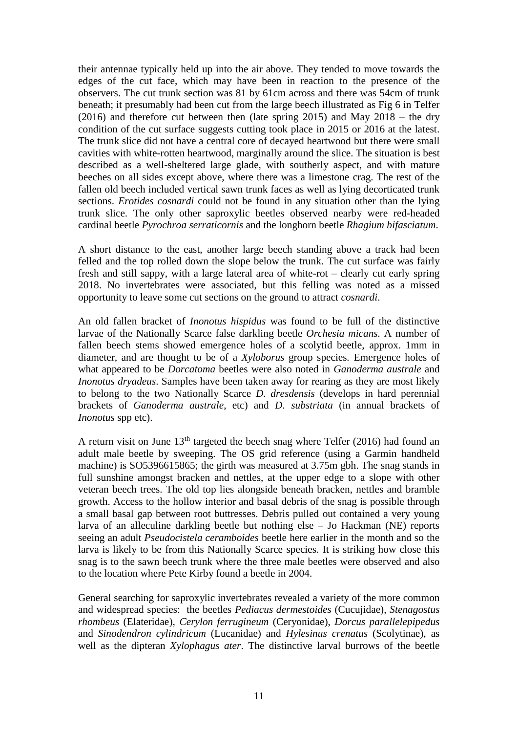their antennae typically held up into the air above. They tended to move towards the edges of the cut face, which may have been in reaction to the presence of the observers. The cut trunk section was 81 by 61cm across and there was 54cm of trunk beneath; it presumably had been cut from the large beech illustrated as Fig 6 in Telfer (2016) and therefore cut between then (late spring 2015) and May 2018 – the dry condition of the cut surface suggests cutting took place in 2015 or 2016 at the latest. The trunk slice did not have a central core of decayed heartwood but there were small cavities with white-rotten heartwood, marginally around the slice. The situation is best described as a well-sheltered large glade, with southerly aspect, and with mature beeches on all sides except above, where there was a limestone crag. The rest of the fallen old beech included vertical sawn trunk faces as well as lying decorticated trunk sections. *Erotides cosnardi* could not be found in any situation other than the lying trunk slice. The only other saproxylic beetles observed nearby were red-headed cardinal beetle *Pyrochroa serraticornis* and the longhorn beetle *Rhagium bifasciatum*.

A short distance to the east, another large beech standing above a track had been felled and the top rolled down the slope below the trunk. The cut surface was fairly fresh and still sappy, with a large lateral area of white-rot – clearly cut early spring 2018. No invertebrates were associated, but this felling was noted as a missed opportunity to leave some cut sections on the ground to attract *cosnardi*.

An old fallen bracket of *Inonotus hispidus* was found to be full of the distinctive larvae of the Nationally Scarce false darkling beetle *Orchesia micans.* A number of fallen beech stems showed emergence holes of a scolytid beetle, approx. 1mm in diameter, and are thought to be of a *Xyloborus* group species*.* Emergence holes of what appeared to be *Dorcatoma* beetles were also noted in *Ganoderma australe* and *Inonotus dryadeus*. Samples have been taken away for rearing as they are most likely to belong to the two Nationally Scarce *D. dresdensis* (develops in hard perennial brackets of *Ganoderma australe*, etc) and *D. substriata* (in annual brackets of *Inonotus* spp etc).

A return visit on June  $13<sup>th</sup>$  targeted the beech snag where Telfer (2016) had found an adult male beetle by sweeping. The OS grid reference (using a Garmin handheld machine) is SO5396615865; the girth was measured at 3.75m gbh. The snag stands in full sunshine amongst bracken and nettles, at the upper edge to a slope with other veteran beech trees. The old top lies alongside beneath bracken, nettles and bramble growth. Access to the hollow interior and basal debris of the snag is possible through a small basal gap between root buttresses. Debris pulled out contained a very young larva of an alleculine darkling beetle but nothing else – Jo Hackman (NE) reports seeing an adult *Pseudocistela ceramboides* beetle here earlier in the month and so the larva is likely to be from this Nationally Scarce species. It is striking how close this snag is to the sawn beech trunk where the three male beetles were observed and also to the location where Pete Kirby found a beetle in 2004.

General searching for saproxylic invertebrates revealed a variety of the more common and widespread species: the beetles *Pediacus dermestoides* (Cucujidae), *Stenagostus rhombeus* (Elateridae), *Cerylon ferrugineum* (Ceryonidae), *Dorcus parallelepipedus* and *Sinodendron cylindricum* (Lucanidae) and *Hylesinus crenatus* (Scolytinae), as well as the dipteran *Xylophagus ater*. The distinctive larval burrows of the beetle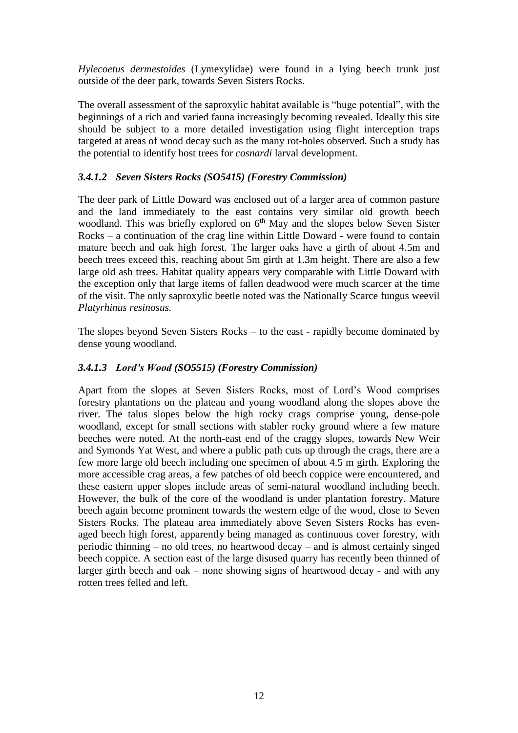*Hylecoetus dermestoides* (Lymexylidae) were found in a lying beech trunk just outside of the deer park, towards Seven Sisters Rocks.

The overall assessment of the saproxylic habitat available is "huge potential", with the beginnings of a rich and varied fauna increasingly becoming revealed. Ideally this site should be subject to a more detailed investigation using flight interception traps targeted at areas of wood decay such as the many rot-holes observed. Such a study has the potential to identify host trees for *cosnardi* larval development.

#### *3.4.1.2 Seven Sisters Rocks (SO5415) (Forestry Commission)*

The deer park of Little Doward was enclosed out of a larger area of common pasture and the land immediately to the east contains very similar old growth beech woodland. This was briefly explored on  $6<sup>th</sup>$  May and the slopes below Seven Sister Rocks – a continuation of the crag line within Little Doward - were found to contain mature beech and oak high forest. The larger oaks have a girth of about 4.5m and beech trees exceed this, reaching about 5m girth at 1.3m height. There are also a few large old ash trees. Habitat quality appears very comparable with Little Doward with the exception only that large items of fallen deadwood were much scarcer at the time of the visit. The only saproxylic beetle noted was the Nationally Scarce fungus weevil *Platyrhinus resinosus.*

The slopes beyond Seven Sisters Rocks – to the east - rapidly become dominated by dense young woodland.

#### *3.4.1.3 Lord's Wood (SO5515) (Forestry Commission)*

Apart from the slopes at Seven Sisters Rocks, most of Lord's Wood comprises forestry plantations on the plateau and young woodland along the slopes above the river. The talus slopes below the high rocky crags comprise young, dense-pole woodland, except for small sections with stabler rocky ground where a few mature beeches were noted. At the north-east end of the craggy slopes, towards New Weir and Symonds Yat West, and where a public path cuts up through the crags, there are a few more large old beech including one specimen of about 4.5 m girth. Exploring the more accessible crag areas, a few patches of old beech coppice were encountered, and these eastern upper slopes include areas of semi-natural woodland including beech. However, the bulk of the core of the woodland is under plantation forestry. Mature beech again become prominent towards the western edge of the wood, close to Seven Sisters Rocks. The plateau area immediately above Seven Sisters Rocks has evenaged beech high forest, apparently being managed as continuous cover forestry, with periodic thinning – no old trees, no heartwood decay – and is almost certainly singed beech coppice. A section east of the large disused quarry has recently been thinned of larger girth beech and oak – none showing signs of heartwood decay - and with any rotten trees felled and left.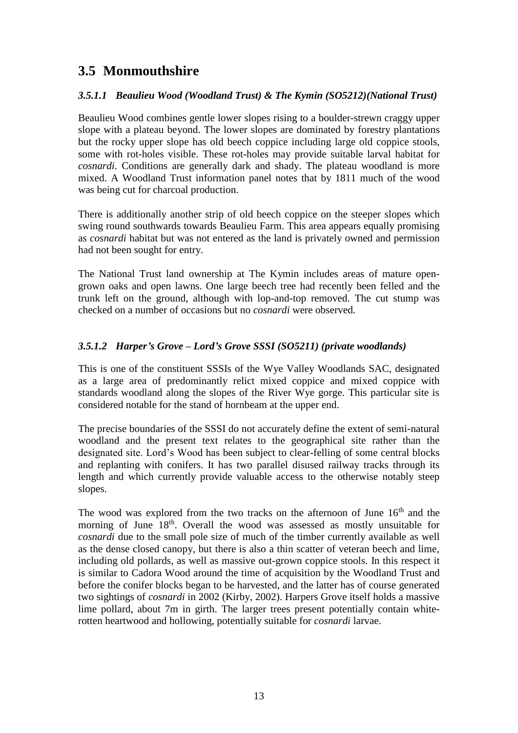## **3.5 Monmouthshire**

#### *3.5.1.1 Beaulieu Wood (Woodland Trust) & The Kymin (SO5212)(National Trust)*

Beaulieu Wood combines gentle lower slopes rising to a boulder-strewn craggy upper slope with a plateau beyond. The lower slopes are dominated by forestry plantations but the rocky upper slope has old beech coppice including large old coppice stools, some with rot-holes visible. These rot-holes may provide suitable larval habitat for *cosnardi*. Conditions are generally dark and shady. The plateau woodland is more mixed. A Woodland Trust information panel notes that by 1811 much of the wood was being cut for charcoal production.

There is additionally another strip of old beech coppice on the steeper slopes which swing round southwards towards Beaulieu Farm. This area appears equally promising as *cosnardi* habitat but was not entered as the land is privately owned and permission had not been sought for entry.

The National Trust land ownership at The Kymin includes areas of mature opengrown oaks and open lawns. One large beech tree had recently been felled and the trunk left on the ground, although with lop-and-top removed. The cut stump was checked on a number of occasions but no *cosnardi* were observed.

#### *3.5.1.2 Harper's Grove – Lord's Grove SSSI (SO5211) (private woodlands)*

This is one of the constituent SSSIs of the Wye Valley Woodlands SAC, designated as a large area of predominantly relict mixed coppice and mixed coppice with standards woodland along the slopes of the River Wye gorge. This particular site is considered notable for the stand of hornbeam at the upper end.

The precise boundaries of the SSSI do not accurately define the extent of semi-natural woodland and the present text relates to the geographical site rather than the designated site. Lord's Wood has been subject to clear-felling of some central blocks and replanting with conifers. It has two parallel disused railway tracks through its length and which currently provide valuable access to the otherwise notably steep slopes.

The wood was explored from the two tracks on the afternoon of June  $16<sup>th</sup>$  and the morning of June 18<sup>th</sup>. Overall the wood was assessed as mostly unsuitable for *cosnardi* due to the small pole size of much of the timber currently available as well as the dense closed canopy, but there is also a thin scatter of veteran beech and lime, including old pollards, as well as massive out-grown coppice stools. In this respect it is similar to Cadora Wood around the time of acquisition by the Woodland Trust and before the conifer blocks began to be harvested, and the latter has of course generated two sightings of *cosnardi* in 2002 (Kirby, 2002). Harpers Grove itself holds a massive lime pollard, about 7m in girth. The larger trees present potentially contain whiterotten heartwood and hollowing, potentially suitable for *cosnardi* larvae.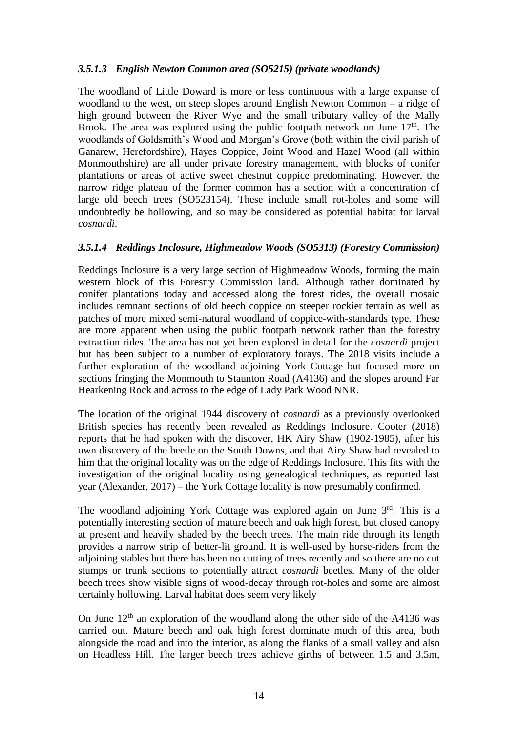#### *3.5.1.3 English Newton Common area (SO5215) (private woodlands)*

The woodland of Little Doward is more or less continuous with a large expanse of woodland to the west, on steep slopes around English Newton Common – a ridge of high ground between the River Wye and the small tributary valley of the Mally Brook. The area was explored using the public footpath network on June  $17<sup>th</sup>$ . The woodlands of Goldsmith's Wood and Morgan's Grove (both within the civil parish of Ganarew, Herefordshire), Hayes Coppice, Joint Wood and Hazel Wood (all within Monmouthshire) are all under private forestry management, with blocks of conifer plantations or areas of active sweet chestnut coppice predominating. However, the narrow ridge plateau of the former common has a section with a concentration of large old beech trees (SO523154). These include small rot-holes and some will undoubtedly be hollowing, and so may be considered as potential habitat for larval *cosnardi*.

#### *3.5.1.4 Reddings Inclosure, Highmeadow Woods (SO5313) (Forestry Commission)*

Reddings Inclosure is a very large section of Highmeadow Woods, forming the main western block of this Forestry Commission land. Although rather dominated by conifer plantations today and accessed along the forest rides, the overall mosaic includes remnant sections of old beech coppice on steeper rockier terrain as well as patches of more mixed semi-natural woodland of coppice-with-standards type. These are more apparent when using the public footpath network rather than the forestry extraction rides. The area has not yet been explored in detail for the *cosnardi* project but has been subject to a number of exploratory forays. The 2018 visits include a further exploration of the woodland adjoining York Cottage but focused more on sections fringing the Monmouth to Staunton Road (A4136) and the slopes around Far Hearkening Rock and across to the edge of Lady Park Wood NNR.

The location of the original 1944 discovery of *cosnardi* as a previously overlooked British species has recently been revealed as Reddings Inclosure. Cooter (2018) reports that he had spoken with the discover, HK Airy Shaw (1902-1985), after his own discovery of the beetle on the South Downs, and that Airy Shaw had revealed to him that the original locality was on the edge of Reddings Inclosure. This fits with the investigation of the original locality using genealogical techniques, as reported last year (Alexander, 2017) – the York Cottage locality is now presumably confirmed.

The woodland adjoining York Cottage was explored again on June  $3<sup>rd</sup>$ . This is a potentially interesting section of mature beech and oak high forest, but closed canopy at present and heavily shaded by the beech trees. The main ride through its length provides a narrow strip of better-lit ground. It is well-used by horse-riders from the adjoining stables but there has been no cutting of trees recently and so there are no cut stumps or trunk sections to potentially attract *cosnardi* beetles. Many of the older beech trees show visible signs of wood-decay through rot-holes and some are almost certainly hollowing. Larval habitat does seem very likely

On June  $12<sup>th</sup>$  an exploration of the woodland along the other side of the A4136 was carried out. Mature beech and oak high forest dominate much of this area, both alongside the road and into the interior, as along the flanks of a small valley and also on Headless Hill. The larger beech trees achieve girths of between 1.5 and 3.5m,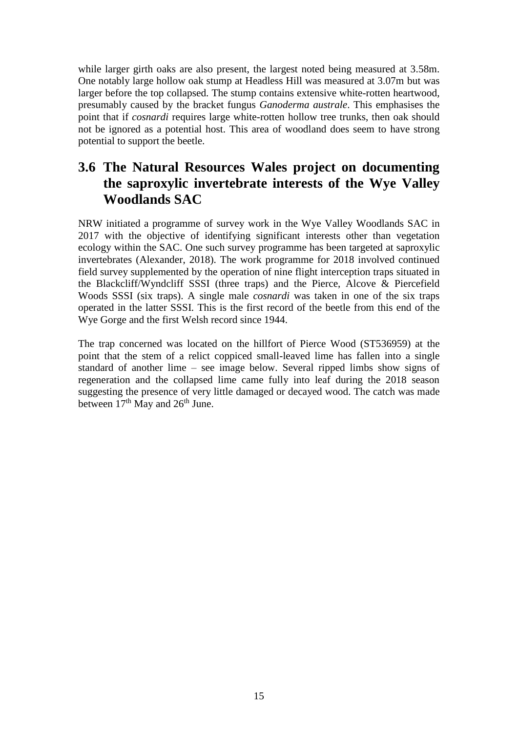while larger girth oaks are also present, the largest noted being measured at 3.58m. One notably large hollow oak stump at Headless Hill was measured at 3.07m but was larger before the top collapsed. The stump contains extensive white-rotten heartwood, presumably caused by the bracket fungus *Ganoderma australe*. This emphasises the point that if *cosnardi* requires large white-rotten hollow tree trunks, then oak should not be ignored as a potential host. This area of woodland does seem to have strong potential to support the beetle.

## **3.6 The Natural Resources Wales project on documenting the saproxylic invertebrate interests of the Wye Valley Woodlands SAC**

NRW initiated a programme of survey work in the Wye Valley Woodlands SAC in 2017 with the objective of identifying significant interests other than vegetation ecology within the SAC. One such survey programme has been targeted at saproxylic invertebrates (Alexander, 2018). The work programme for 2018 involved continued field survey supplemented by the operation of nine flight interception traps situated in the Blackcliff/Wyndcliff SSSI (three traps) and the Pierce, Alcove & Piercefield Woods SSSI (six traps). A single male *cosnardi* was taken in one of the six traps operated in the latter SSSI. This is the first record of the beetle from this end of the Wye Gorge and the first Welsh record since 1944.

The trap concerned was located on the hillfort of Pierce Wood (ST536959) at the point that the stem of a relict coppiced small-leaved lime has fallen into a single standard of another lime – see image below. Several ripped limbs show signs of regeneration and the collapsed lime came fully into leaf during the 2018 season suggesting the presence of very little damaged or decayed wood. The catch was made between  $17<sup>th</sup>$  May and  $26<sup>th</sup>$  June.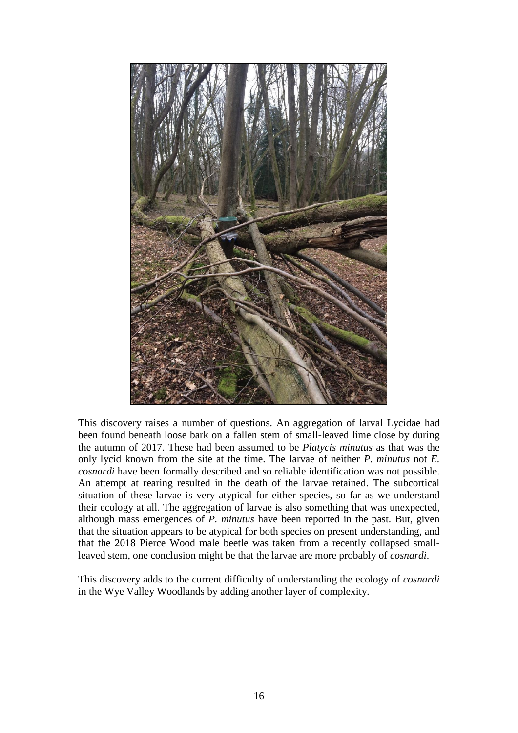

This discovery raises a number of questions. An aggregation of larval Lycidae had been found beneath loose bark on a fallen stem of small-leaved lime close by during the autumn of 2017. These had been assumed to be *Platycis minutus* as that was the only lycid known from the site at the time. The larvae of neither *P. minutus* not *E. cosnardi* have been formally described and so reliable identification was not possible. An attempt at rearing resulted in the death of the larvae retained. The subcortical situation of these larvae is very atypical for either species, so far as we understand their ecology at all. The aggregation of larvae is also something that was unexpected, although mass emergences of *P. minutus* have been reported in the past. But, given that the situation appears to be atypical for both species on present understanding, and that the 2018 Pierce Wood male beetle was taken from a recently collapsed smallleaved stem, one conclusion might be that the larvae are more probably of *cosnardi*.

This discovery adds to the current difficulty of understanding the ecology of *cosnardi* in the Wye Valley Woodlands by adding another layer of complexity.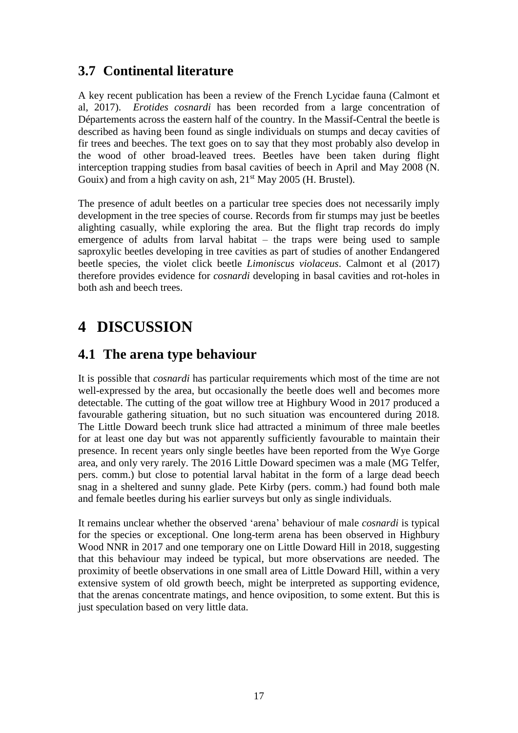### **3.7 Continental literature**

A key recent publication has been a review of the French Lycidae fauna (Calmont et al, 2017). *Erotides cosnardi* has been recorded from a large concentration of Départements across the eastern half of the country. In the Massif-Central the beetle is described as having been found as single individuals on stumps and decay cavities of fir trees and beeches. The text goes on to say that they most probably also develop in the wood of other broad-leaved trees. Beetles have been taken during flight interception trapping studies from basal cavities of beech in April and May 2008 (N. Gouix) and from a high cavity on ash,  $21<sup>st</sup>$  May 2005 (H. Brustel).

The presence of adult beetles on a particular tree species does not necessarily imply development in the tree species of course. Records from fir stumps may just be beetles alighting casually, while exploring the area. But the flight trap records do imply emergence of adults from larval habitat – the traps were being used to sample saproxylic beetles developing in tree cavities as part of studies of another Endangered beetle species, the violet click beetle *Limoniscus violaceus*. Calmont et al (2017) therefore provides evidence for *cosnardi* developing in basal cavities and rot-holes in both ash and beech trees.

## **4 DISCUSSION**

### **4.1 The arena type behaviour**

It is possible that *cosnardi* has particular requirements which most of the time are not well-expressed by the area, but occasionally the beetle does well and becomes more detectable. The cutting of the goat willow tree at Highbury Wood in 2017 produced a favourable gathering situation, but no such situation was encountered during 2018. The Little Doward beech trunk slice had attracted a minimum of three male beetles for at least one day but was not apparently sufficiently favourable to maintain their presence. In recent years only single beetles have been reported from the Wye Gorge area, and only very rarely. The 2016 Little Doward specimen was a male (MG Telfer, pers. comm.) but close to potential larval habitat in the form of a large dead beech snag in a sheltered and sunny glade. Pete Kirby (pers. comm.) had found both male and female beetles during his earlier surveys but only as single individuals.

It remains unclear whether the observed 'arena' behaviour of male *cosnardi* is typical for the species or exceptional. One long-term arena has been observed in Highbury Wood NNR in 2017 and one temporary one on Little Doward Hill in 2018, suggesting that this behaviour may indeed be typical, but more observations are needed. The proximity of beetle observations in one small area of Little Doward Hill, within a very extensive system of old growth beech, might be interpreted as supporting evidence, that the arenas concentrate matings, and hence oviposition, to some extent. But this is just speculation based on very little data.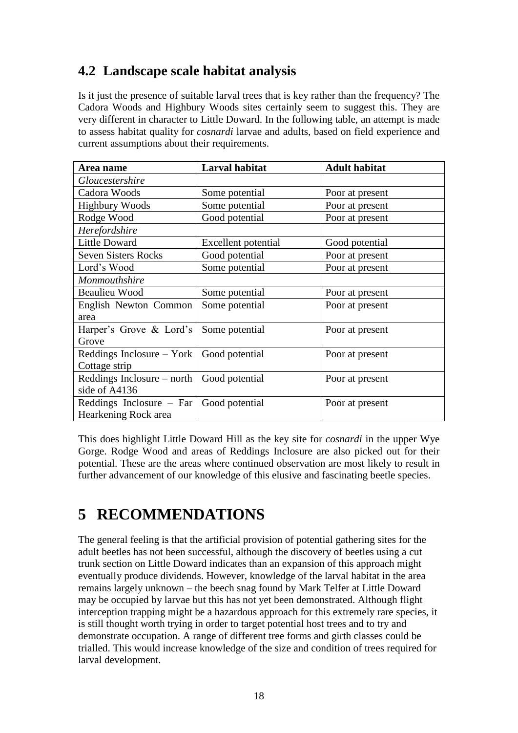## **4.2 Landscape scale habitat analysis**

Is it just the presence of suitable larval trees that is key rather than the frequency? The Cadora Woods and Highbury Woods sites certainly seem to suggest this. They are very different in character to Little Doward. In the following table, an attempt is made to assess habitat quality for *cosnardi* larvae and adults, based on field experience and current assumptions about their requirements.

| Area name                  | <b>Larval habitat</b> | <b>Adult habitat</b> |
|----------------------------|-----------------------|----------------------|
| <i>Gloucestershire</i>     |                       |                      |
| Cadora Woods               | Some potential        | Poor at present      |
| <b>Highbury Woods</b>      | Some potential        | Poor at present      |
| Rodge Wood                 | Good potential        | Poor at present      |
| Herefordshire              |                       |                      |
| <b>Little Doward</b>       | Excellent potential   | Good potential       |
| <b>Seven Sisters Rocks</b> | Good potential        | Poor at present      |
| Lord's Wood                | Some potential        | Poor at present      |
| Monmouthshire              |                       |                      |
| <b>Beaulieu Wood</b>       | Some potential        | Poor at present      |
| English Newton Common      | Some potential        | Poor at present      |
| area                       |                       |                      |
| Harper's Grove & Lord's    | Some potential        | Poor at present      |
| Grove                      |                       |                      |
| Reddings Inclosure – York  | Good potential        | Poor at present      |
| Cottage strip              |                       |                      |
| Reddings Inclosure – north | Good potential        | Poor at present      |
| side of A4136              |                       |                      |
| Reddings Inclosure $-$ Far | Good potential        | Poor at present      |
| Hearkening Rock area       |                       |                      |

This does highlight Little Doward Hill as the key site for *cosnardi* in the upper Wye Gorge. Rodge Wood and areas of Reddings Inclosure are also picked out for their potential. These are the areas where continued observation are most likely to result in further advancement of our knowledge of this elusive and fascinating beetle species.

## **5 RECOMMENDATIONS**

The general feeling is that the artificial provision of potential gathering sites for the adult beetles has not been successful, although the discovery of beetles using a cut trunk section on Little Doward indicates than an expansion of this approach might eventually produce dividends. However, knowledge of the larval habitat in the area remains largely unknown – the beech snag found by Mark Telfer at Little Doward may be occupied by larvae but this has not yet been demonstrated. Although flight interception trapping might be a hazardous approach for this extremely rare species, it is still thought worth trying in order to target potential host trees and to try and demonstrate occupation. A range of different tree forms and girth classes could be trialled. This would increase knowledge of the size and condition of trees required for larval development.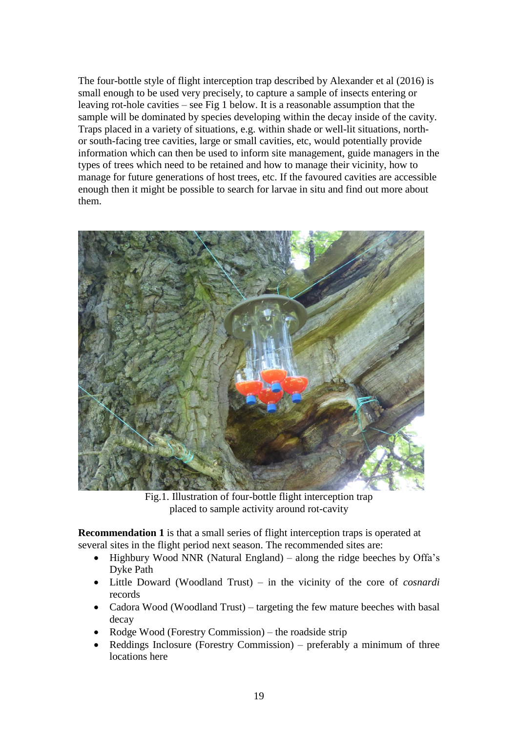The four-bottle style of flight interception trap described by Alexander et al (2016) is small enough to be used very precisely, to capture a sample of insects entering or leaving rot-hole cavities – see Fig 1 below. It is a reasonable assumption that the sample will be dominated by species developing within the decay inside of the cavity. Traps placed in a variety of situations, e.g. within shade or well-lit situations, northor south-facing tree cavities, large or small cavities, etc, would potentially provide information which can then be used to inform site management, guide managers in the types of trees which need to be retained and how to manage their vicinity, how to manage for future generations of host trees, etc. If the favoured cavities are accessible enough then it might be possible to search for larvae in situ and find out more about them.



Fig.1. Illustration of four-bottle flight interception trap placed to sample activity around rot-cavity

**Recommendation 1** is that a small series of flight interception traps is operated at several sites in the flight period next season. The recommended sites are:

- Highbury Wood NNR (Natural England) along the ridge beeches by Offa's Dyke Path
- Little Doward (Woodland Trust) in the vicinity of the core of *cosnardi* records
- Cadora Wood (Woodland Trust) targeting the few mature beeches with basal decay
- Rodge Wood (Forestry Commission) the roadside strip
- Reddings Inclosure (Forestry Commission) preferably a minimum of three locations here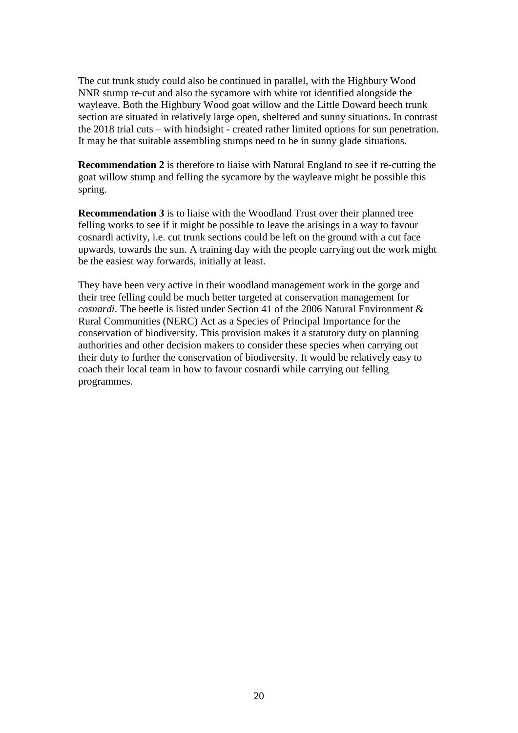The cut trunk study could also be continued in parallel, with the Highbury Wood NNR stump re-cut and also the sycamore with white rot identified alongside the wayleave. Both the Highbury Wood goat willow and the Little Doward beech trunk section are situated in relatively large open, sheltered and sunny situations. In contrast the 2018 trial cuts – with hindsight - created rather limited options for sun penetration. It may be that suitable assembling stumps need to be in sunny glade situations.

**Recommendation 2** is therefore to liaise with Natural England to see if re-cutting the goat willow stump and felling the sycamore by the wayleave might be possible this spring.

**Recommendation 3** is to liaise with the Woodland Trust over their planned tree felling works to see if it might be possible to leave the arisings in a way to favour cosnardi activity, i.e. cut trunk sections could be left on the ground with a cut face upwards, towards the sun. A training day with the people carrying out the work might be the easiest way forwards, initially at least.

They have been very active in their woodland management work in the gorge and their tree felling could be much better targeted at conservation management for *cosnardi*. The beetle is listed under Section 41 of the 2006 Natural Environment & Rural Communities (NERC) Act as a Species of Principal Importance for the conservation of biodiversity. This provision makes it a statutory duty on planning authorities and other decision makers to consider these species when carrying out their duty to further the conservation of biodiversity. It would be relatively easy to coach their local team in how to favour cosnardi while carrying out felling programmes.